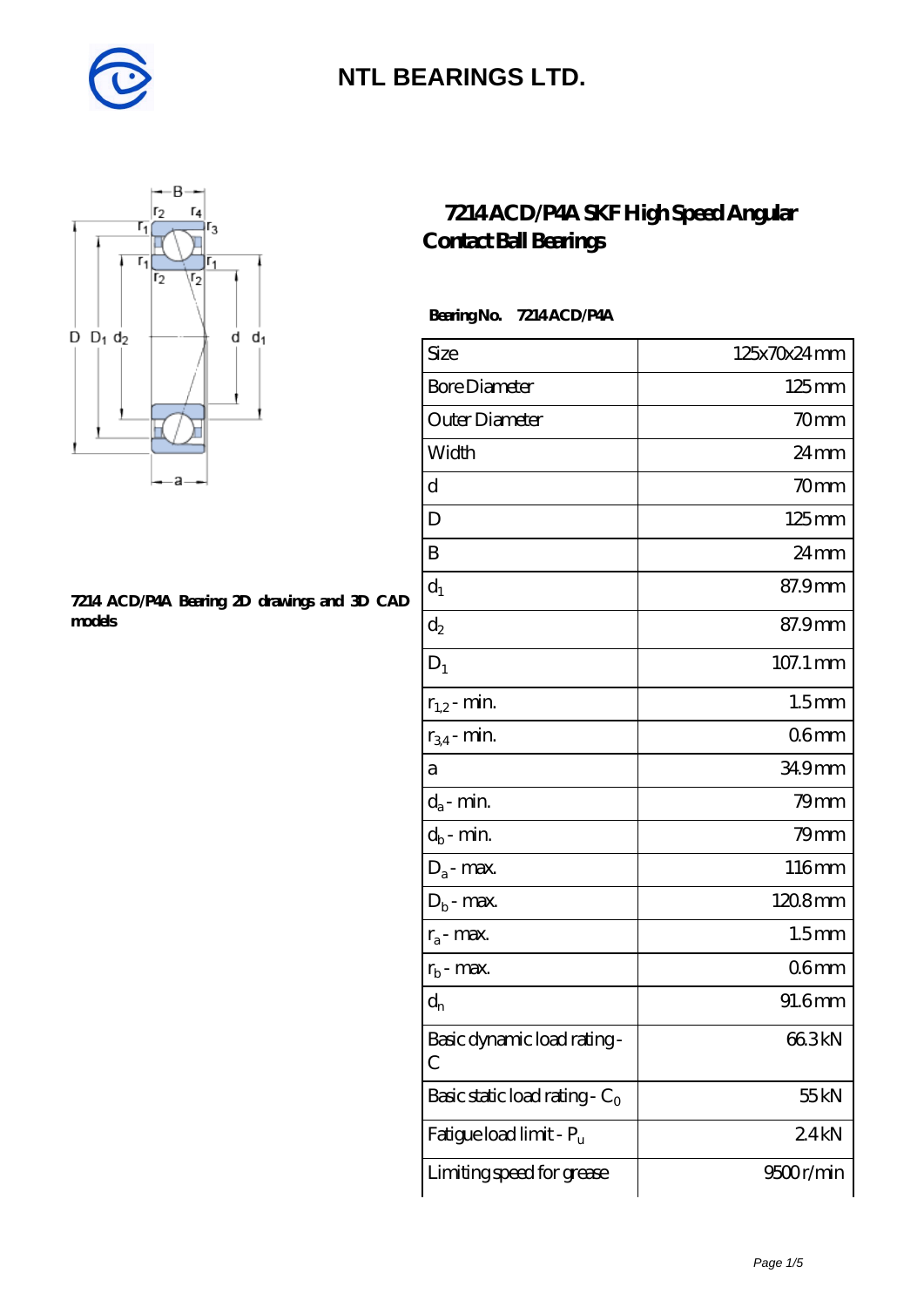



#### **[7214 ACD/P4A Bearing 2D drawings and 3D CAD](https://diabetesfriends.net/pic-590859.html) [models](https://diabetesfriends.net/pic-590859.html)**

#### **[7214 ACD/P4A SKF High Speed Angular](https://diabetesfriends.net/skf-bearing/7214-acd-p4a.html) [Contact Ball Bearings](https://diabetesfriends.net/skf-bearing/7214-acd-p4a.html)**

 **Bearing No. 7214 ACD/P4A**

| Size                             | 125x70x24mm        |
|----------------------------------|--------------------|
| <b>Bore Diameter</b>             | $125 \text{mm}$    |
| Outer Diameter                   | 70 <sub>mm</sub>   |
| Width                            | 24mm               |
| d                                | 70 <sub>mm</sub>   |
| D                                | $125 \text{mm}$    |
| B                                | $24 \,\mathrm{mm}$ |
| $d_1$                            | 87.9mm             |
| $d_2$                            | 87.9mm             |
| $D_1$                            | 107.1 mm           |
| $r_{1,2}$ - min.                 | 1.5 <sub>mm</sub>  |
| $r_{34}$ - min.                  | 06 <sub>mm</sub>   |
| а                                | 349mm              |
| $d_a$ - min.                     | $79$ mm            |
| $d_b$ - min.                     | $79$ mm            |
| $D_a$ - max.                     | 116mm              |
| $D_b$ - max.                     | 1208mm             |
| $r_a$ - max.                     | 1.5 <sub>mm</sub>  |
| $r_{b}$ - max.                   | 06 <sub>mm</sub>   |
| $\mathrm{d}_{\mathrm{n}}$        | 91.6mm             |
| Basic dynamic load rating-<br>C  | 66.3kN             |
| Basic static load rating - $C_0$ | 55 kN              |
| Fatigue load limit - Pu          | 24kN               |
| Limiting speed for grease        | 9500r/min          |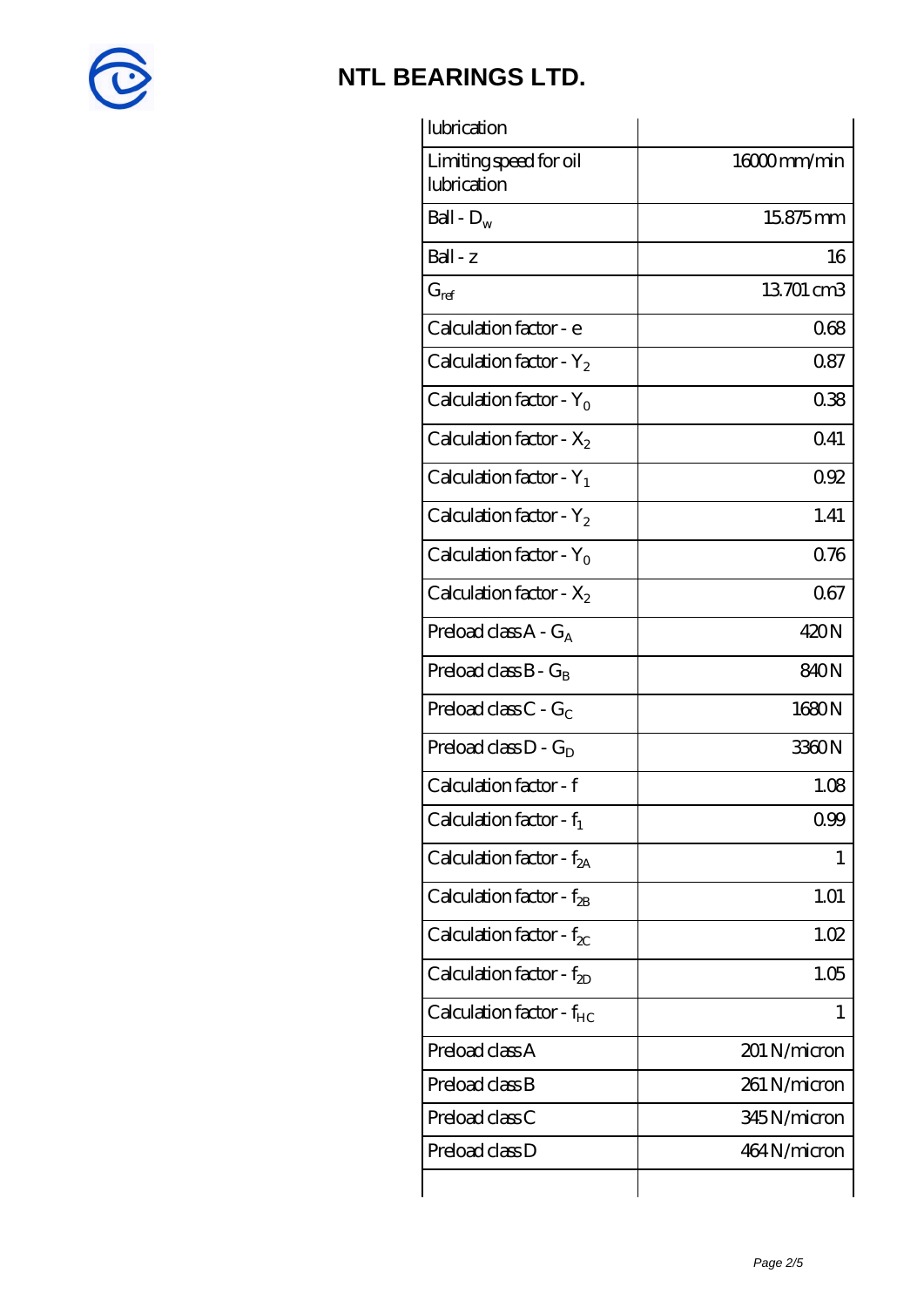

| lubrication                           |              |
|---------------------------------------|--------------|
| Limiting speed for oil<br>lubrication | 16000mm/min  |
| Ball - $D_w$                          | 15875mm      |
| $Ball - z$                            | 16           |
| $G_{ref}$                             | 13701 cm3    |
| Calculation factor - e                | 068          |
| Calculation factor - $Y_2$            | 0.87         |
| Calculation factor - $Y_0$            | 038          |
| Calculation factor - $X_2$            | 041          |
| Calculation factor - $Y_1$            | 0.92         |
| Calculation factor - $Y_2$            | 1.41         |
| Calculation factor - $Y_0$            | 0.76         |
| Calculation factor - $X_2$            | 067          |
| Preload class $A - G_A$               | 420N         |
| Preload class $B - G_B$               | 840N         |
| Preload class $C - G_C$               | 1680N        |
| Preload class $D - G_D$               | 3360N        |
| Calculation factor - f                | 1.08         |
| Calculation factor - $f_1$            | 0.99         |
| Calculation factor - f <sub>2A</sub>  | 1            |
| Calculation factor - $f_{2B}$         | 1.01         |
| Calculation factor - $f_{\chi}$       | 1.02         |
| Calculation factor - $f_{2D}$         | 1.05         |
| Calculation factor - $f_{HC}$         |              |
| Preload class A                       | 201 N/micron |
| Preload class B                       | 261 N/micron |
| Preload class C                       | 345N/micron  |
| Preload class D                       | 464 N/micron |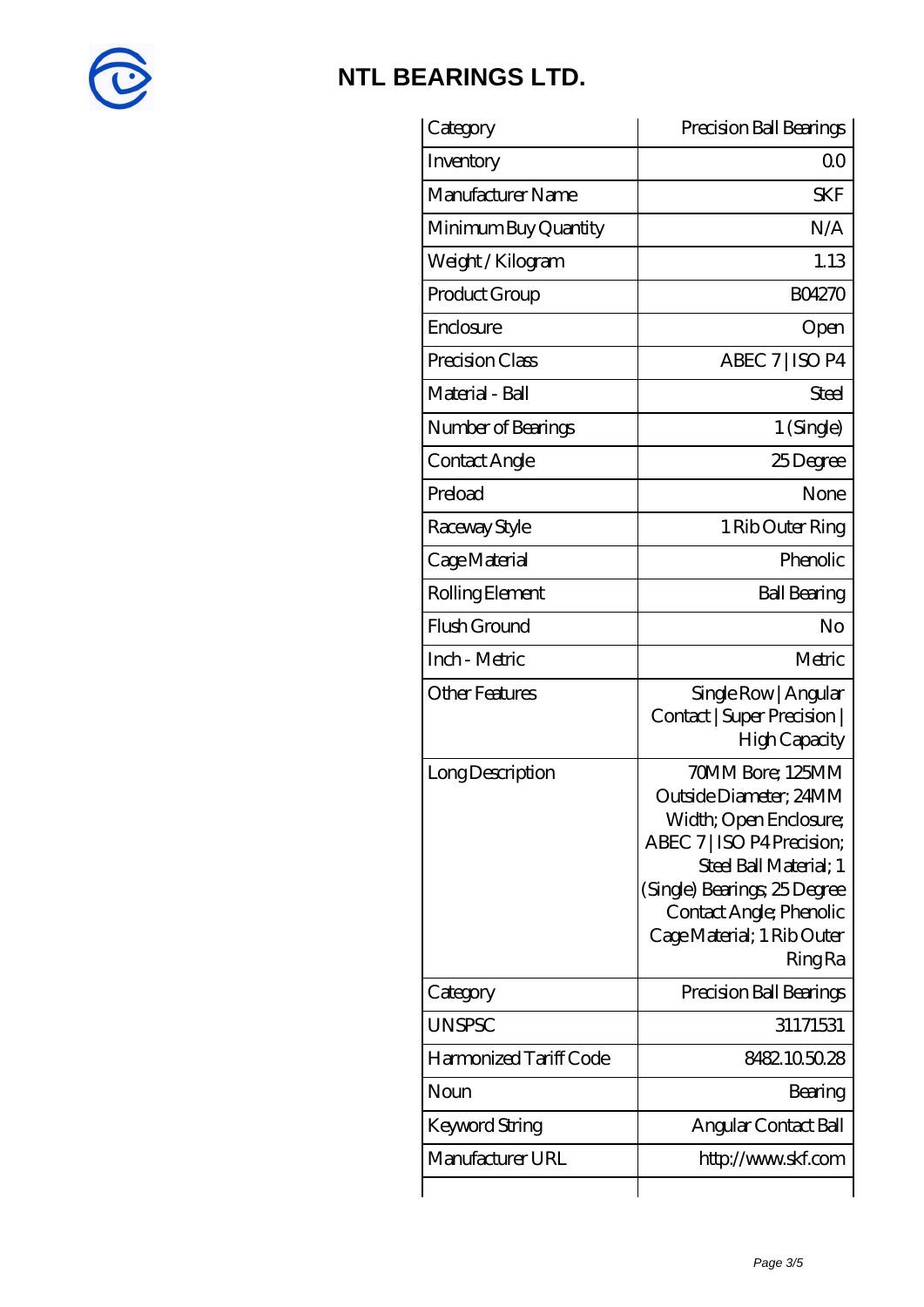

| Category               | Precision Ball Bearings                                                                                                                                                                                                                 |
|------------------------|-----------------------------------------------------------------------------------------------------------------------------------------------------------------------------------------------------------------------------------------|
| Inventory              | Q0                                                                                                                                                                                                                                      |
| Manufacturer Name      | <b>SKF</b>                                                                                                                                                                                                                              |
| Minimum Buy Quantity   | N/A                                                                                                                                                                                                                                     |
| Weight / Kilogram      | 1.13                                                                                                                                                                                                                                    |
| Product Group          | <b>BO4270</b>                                                                                                                                                                                                                           |
| Enclosure              | Open                                                                                                                                                                                                                                    |
| Precision Class        | ABEC 7   ISO P4                                                                                                                                                                                                                         |
| Material - Ball        | Steel                                                                                                                                                                                                                                   |
| Number of Bearings     | 1 (Single)                                                                                                                                                                                                                              |
| Contact Angle          | 25Degree                                                                                                                                                                                                                                |
| Preload                | None                                                                                                                                                                                                                                    |
| Raceway Style          | 1 Rib Outer Ring                                                                                                                                                                                                                        |
| Cage Material          | Phenolic                                                                                                                                                                                                                                |
| Rolling Element        | <b>Ball Bearing</b>                                                                                                                                                                                                                     |
| Flush Ground           | No                                                                                                                                                                                                                                      |
| Inch - Metric          | Metric                                                                                                                                                                                                                                  |
| <b>Other Features</b>  | Single Row   Angular<br>Contact   Super Precision  <br>High Capacity                                                                                                                                                                    |
| Long Description       | 70MM Bore; 125MM<br>Outside Diameter; 24MM<br>Width; Open Enclosure;<br>ABEC 7   ISO P4 Precision;<br>Steel Ball Material; 1<br>(Single) Bearings; 25 Degree<br>Contact Angle; Phenolic<br>Cage Material; 1 Rib Outer<br><b>Ring Ra</b> |
| Category               | Precision Ball Bearings                                                                                                                                                                                                                 |
| <b>UNSPSC</b>          | 31171531                                                                                                                                                                                                                                |
| Harmonized Tariff Code | 8482105028                                                                                                                                                                                                                              |
| Noun                   | Bearing                                                                                                                                                                                                                                 |
| Keyword String         | Angular Contact Ball                                                                                                                                                                                                                    |
| Manufacturer URL       | http://www.skf.com                                                                                                                                                                                                                      |
|                        |                                                                                                                                                                                                                                         |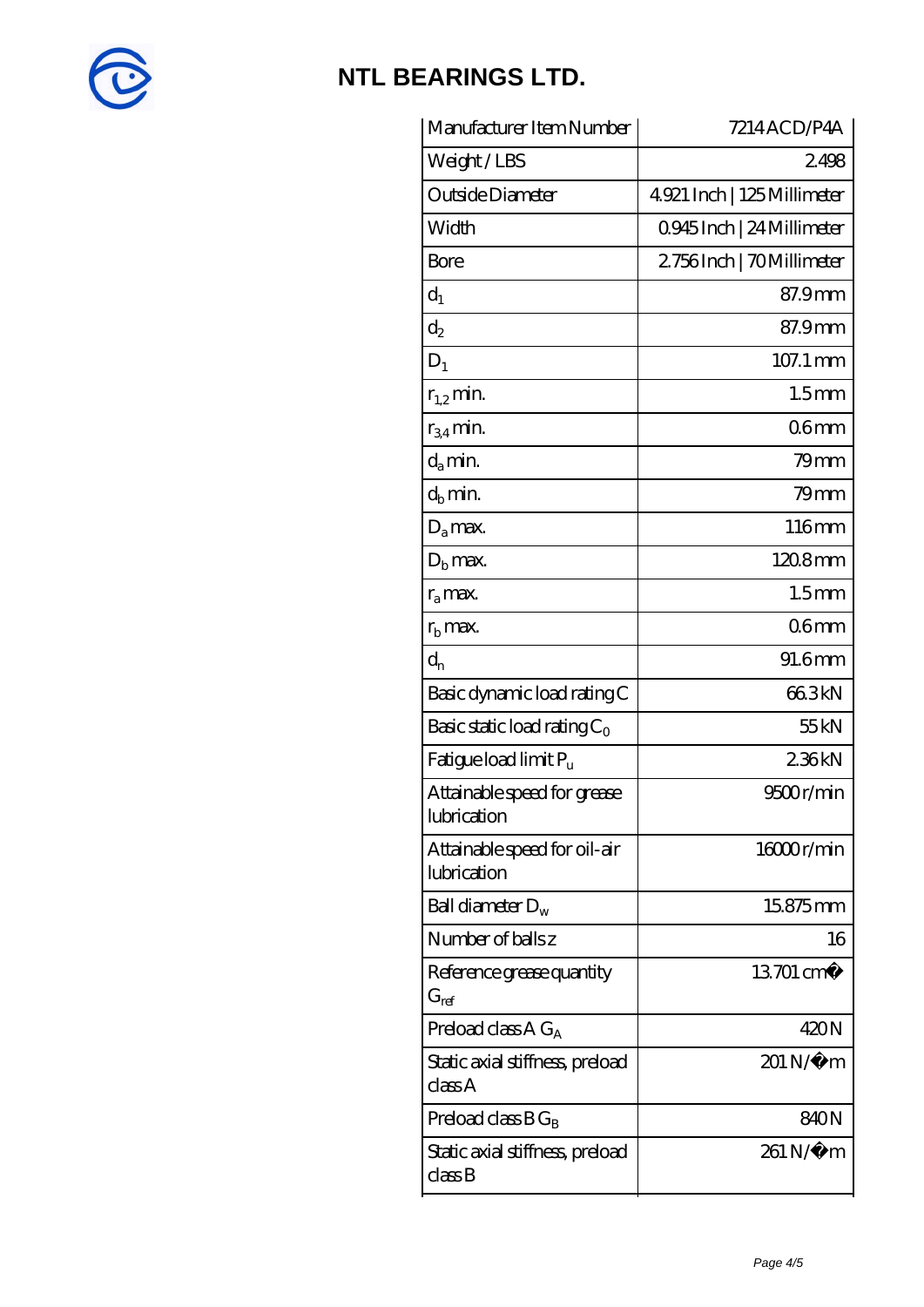

| Manufacturer Item Number                    | 7214ACD/P4A                |
|---------------------------------------------|----------------------------|
| Weight/LBS                                  | 2498                       |
| Outside Diameter                            | 4921 Inch   125 Millimeter |
| Width                                       | Q945Inch   24 Millimeter   |
| Bore                                        | 2756Inch   70Millimeter    |
| $d_1$                                       | 87.9mm                     |
| $d_2$                                       | 87.9mm                     |
| $D_1$                                       | 107.1 mm                   |
| $r_{1,2}$ min.                              | 1.5 <sub>mm</sub>          |
| $r_{34}$ min.                               | 06 <sub>mm</sub>           |
| $d_a$ min.                                  | $79$ mm                    |
| $d_b$ min.                                  | $79$ mm                    |
| $D_a$ max.                                  | 116mm                      |
| $Db$ max.                                   | $1208$ mm                  |
| $r_a$ max.                                  | 1.5 <sub>mm</sub>          |
| $r_{\rm b}$ max.                            | 06 <sub>mm</sub>           |
| $d_{n}$                                     | 91.6mm                     |
| Basic dynamic load rating C                 | 663kN                      |
| Basic static load rating $C_0$              | 55 <sub>kN</sub>           |
| Fatigue load limit $P_{\rm u}$              | 236kN                      |
| Attainable speed for grease<br>lubrication  | 9500r/min                  |
| Attainable speed for oil-air<br>lubrication | 16000r/min                 |
| Ball diameter $D_w$                         | 15.875mm                   |
| Number of balls z                           | 16                         |
| Reference grease quantity<br>$G_{ref}$      | 13701 cm <sup>3</sup>      |
| Preload class A $G_A$                       | 420N                       |
| Static axial stiffness, preload<br>classA   | 201 N/μ m                  |
| Preload class $BG_B$                        | 840N                       |
| Static axial stiffness, preload<br>classB   | 261 N/μ m                  |
|                                             |                            |